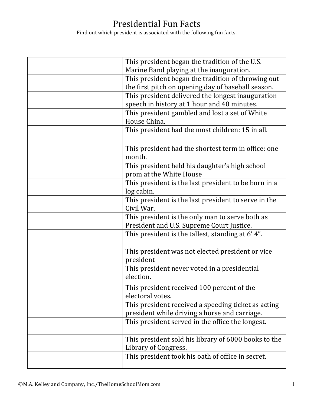## Presidential Fun Facts

Find out which president is associated with the following fun facts.

| This president began the tradition of the U.S.                |
|---------------------------------------------------------------|
| Marine Band playing at the inauguration.                      |
| This president began the tradition of throwing out            |
| the first pitch on opening day of baseball season.            |
| This president delivered the longest inauguration             |
| speech in history at 1 hour and 40 minutes.                   |
| This president gambled and lost a set of White                |
| House China.                                                  |
| This president had the most children: 15 in all.              |
|                                                               |
| This president had the shortest term in office: one<br>month. |
| This president held his daughter's high school                |
| prom at the White House                                       |
| This president is the last president to be born in a          |
| log cabin.                                                    |
| This president is the last president to serve in the          |
| Civil War.                                                    |
| This president is the only man to serve both as               |
| President and U.S. Supreme Court Justice.                     |
| This president is the tallest, standing at 6'4".              |
| This president was not elected president or vice<br>president |
| This president never voted in a presidential                  |
| election.                                                     |
| This president received 100 percent of the                    |
| electoral votes.                                              |
| This president received a speeding ticket as acting           |
| president while driving a horse and carriage.                 |
| This president served in the office the longest.              |
| This president sold his library of 6000 books to the          |
| Library of Congress.                                          |
| This president took his oath of office in secret.             |